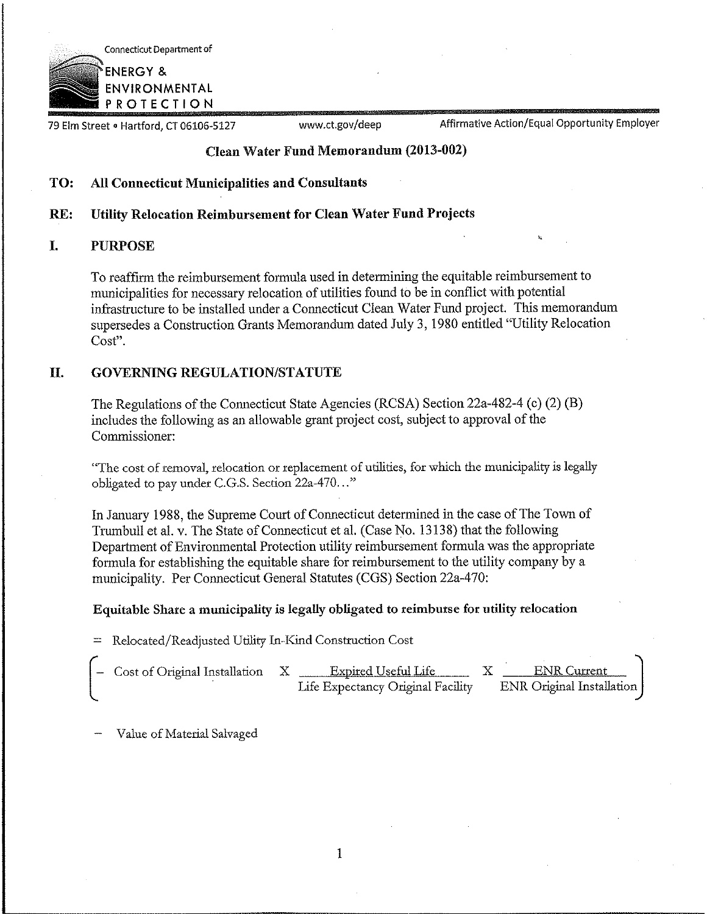

79 Elm Street . Hartford, CT 06106-5127

www.ct.gov/deep Affirmative Action/Equal Opportunity Employer

# **Clean Water Fund Memorandum (2013-002)**

#### **TO: All Connecticut Municipalities and Consultants**

#### **RE: Utility Relocation Reimbursement for Clean Water Fund Projects**

#### I. PURPOSE

To reaffirm the reimbursement formula used in determining the equitable reimbursement to municipalities for necessary relocation of utilities found to be in conflict with potential infrastructure to be installed under a Connecticut Clean Water Fund project. This memorandum supersedes a Construction Grants Memorandum dated July 3, 1980 entitled '°Utility Relocation Cost".

# II. GOVERNING REGULATION/STATUTE

The Regulations of the Connecticut State Agencies (RCSA) Section 22a-482-4 (c) (2) (B) includes the following as an allowable grant project cost, subject to approval of the Commissioner:

"The cost of removal, relocation or replacement of utilities, for which the municipality is legally obligated to pay under C.G.S. Section 22a-470..."

In January 1988, the Supreme Court of Counecticut determined in the case of The Town of Trumbull et al. v. The State of Connecticut et al. (Case No. 13138) that the following Department of Environmental Protection utility reimbursement formula was the appropriate formula for establishing the equitable share for reimbursement to the utility company by a municipality. Per Connecticut General Statutes (CGS) Section 22a-470:

# Equitable Share a municipality is legally obligated **to reimburse for utility relocation**

= Relocated/Readjusted Utility In-Kind Construction Cost

| ' – Cost of Original Installation | $\mathbf{X}$ | Expired Useful Life               | <b>ENR</b> Current        |  |
|-----------------------------------|--------------|-----------------------------------|---------------------------|--|
|                                   |              | Life Expectancy Original Facility | ENR Original Installation |  |

Value of Material Salvaged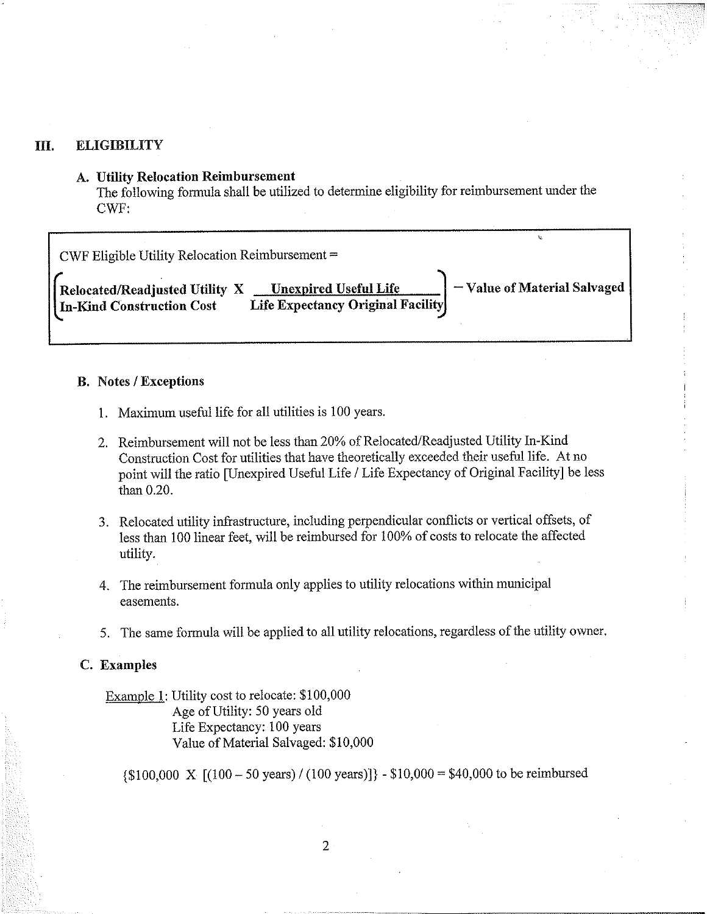# III. ELIGIBILITY

# **A. Utility Relocation Reimbursement**

The following formula shall be utilized to determine eligibility for reimbursement under the CWF:

| $CWF$ Eligible Utility Relocation Reimbursement =           |                                                                   |                             |
|-------------------------------------------------------------|-------------------------------------------------------------------|-----------------------------|
| Relocated/Readjusted Utility X<br>In-Kind Construction Cost | <b>Unexpired Useful Life</b><br>Life Expectancy Original Facility | -Value of Material Salvaged |

# **B. Notes / Exceptions**

- 1. Maximum useful life for all utilities is 100 years.
- 2. Reimbursement will not be less than 20% of Relocated/Readjusted Utility In-Kind Construction Cost for utilities that have theoretically exceeded their useful life. At no point will the ratio [Unexpired Useful Life / Life Expectancy of Original Facility] be less than 0.20.
- 3. Relocated utility infrastructure, including perpendicular conflicts or vertical offsets, of less than 100 linear feet, will be reimbursed for 1009/o of costs to relocate the affected utility.
- 4. The reimbursement formula only applies to utility relocations within municipal easements.
- 5. The same formula will be applied to all utility relocations, regardless of the utility owner.

### C. **Examples**

Example 1: Utility cost to relocate: \$100,000 Age of Utility: 50 years old Life Expectancy: 100 years Value of Material Salvaged: \$10,000

 ${\{ $100,000 \ X \ [(100 - 50 \ years) / (100 \ years)] }$  - \$10,000 = \$40,000 to be reimbursed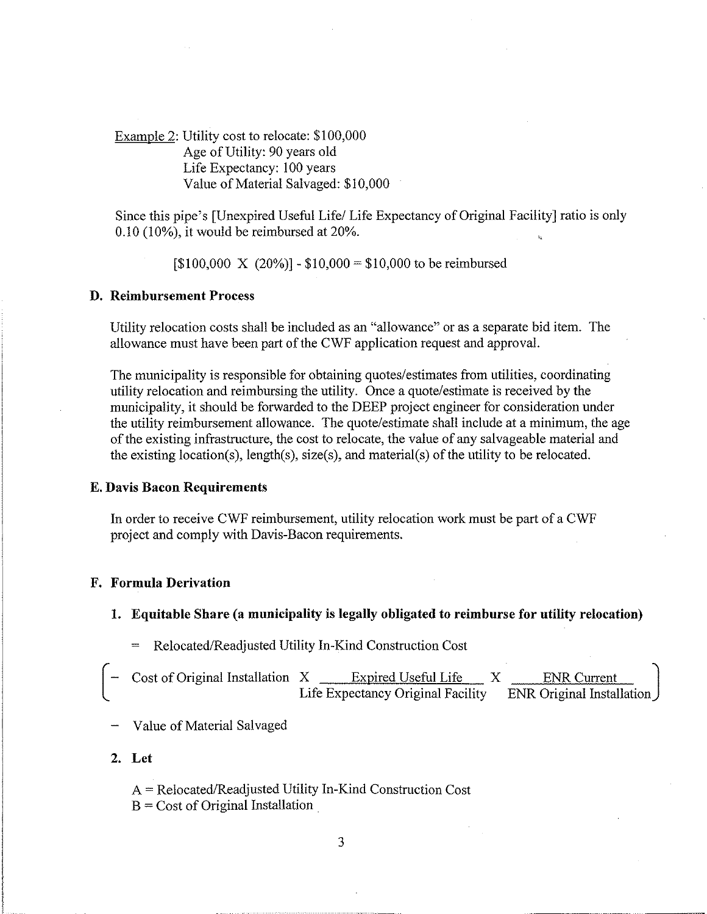Example 2: Utility cost to relocate: \$100,000 Age of Utility: 90 years old Life Expectancy: 100 years Value of Material Salvaged: \$10,000

Since this pipe's [Unexpired Useful Life/Life Expectancy of Original Facility] ratio is only  $0.10$  (10%), it would be reimbursed at 20%.

 $[$100,000 \ X (20%)] - $10,000 = $10,000$  to be reimbursed

### **D. Reimbursement Process**

Utility relocation costs shall be included as an "allowance" or as a separate bid item. The allowance must have been part of the CWF application request and approval.

The municipality is responsible for obtaining quotes/estimates from utilities, coordinating utility relocation and reimbursing the utility. Once a quote/estimate is received by the municipality, it should be forwarded to the DEEP project engineer for consideration under the utility reimbursement allowance. The quote/estimate shall include at a minimum, the age of the existing infrastructure, the cost to relocate, the value of any salvageable material and the existing location(s), length(s), size(s), and material(s) of the utility to be relocated.

#### **E. Davis Bacon Requirements**

In order to receive CWF reimbursement, utility relocation work must be part of a CWF project and comply with Davis-Bacon requirements.

### **F. Formula Derivation**

### **1. Equitable Share (a municipality is legally obligated to reimburse for utility relocation)**

Relocated/Readjusted Utility In-Kind Construction Cost

| $\sim$ Cost of Original Installation X | Expired Useful Life               | <b>ENR</b> Current          |  |
|----------------------------------------|-----------------------------------|-----------------------------|--|
|                                        | Life Expectancy Original Facility | ENR Original Installation J |  |

- Value of Material Salvaged
- **2. Let**

A = Relocated/Readjusted Utility In-Kind Construction Cost  $B = Cost of Original Instantation$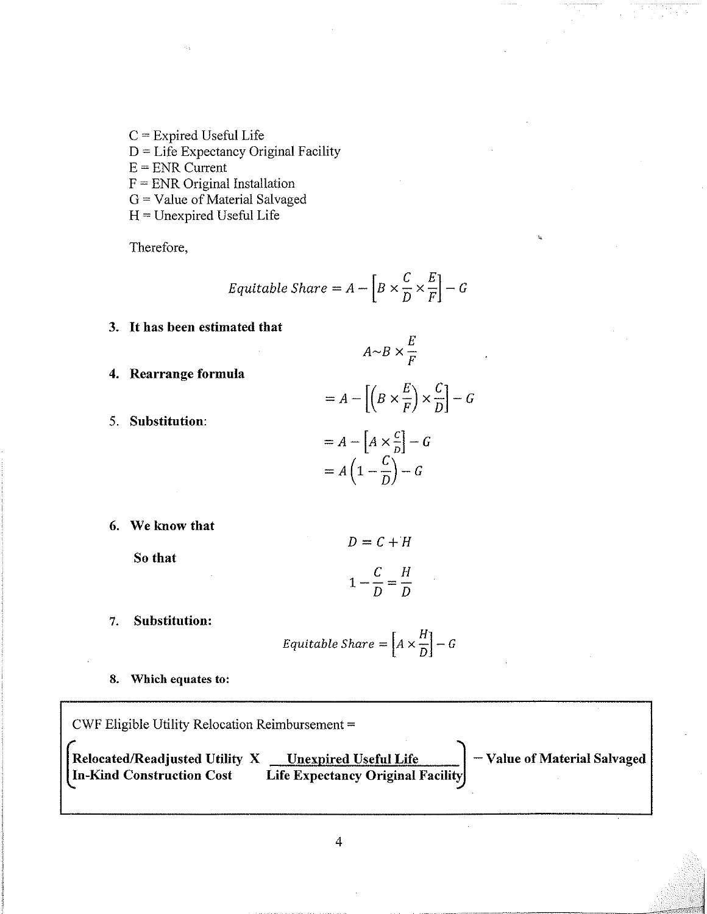- $C =$  Expired Useful Life
- D= Life Expectancy Original Facility

 $E = ENR$  Current

 $F =$  ENR Original Installation

G= Value of Material Salvaged

H= Unexpired Useful Life

Therefore,

$$
Equitable\,Share = A - \left[ B \times \frac{C}{D} \times \frac{E}{F} \right] - G
$$

**3. It has been estimated that**

$$
A \sim B \times \frac{E}{F}
$$

**4. Rearrange formula**

$$
= A - \left[ \left( B \times \frac{E}{F} \right) \times \frac{C}{D} \right] - G
$$

$$
= A - \left[ A \times \frac{C}{D} \right] - G
$$

$$
= A \left( 1 - \frac{C}{D} \right) - G
$$

**We know that**

**5. Substitution:**

**So that**

$$
1 - \frac{C}{D} = \frac{H}{D}
$$

 $D=C+H$ 

**7. Substitution:**

$$
Equitable\,Share = \left[A \times \frac{H}{D}\right] - G
$$

**8. Which equates to:**